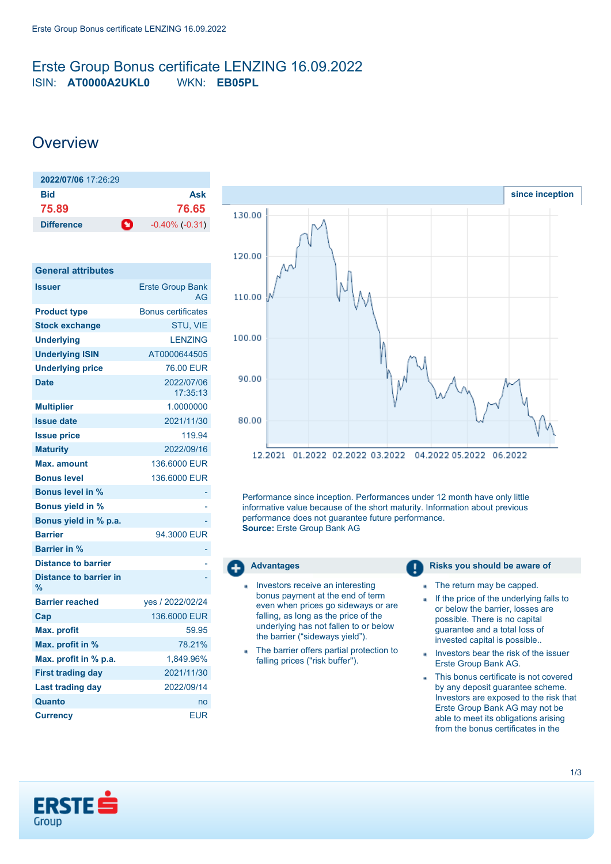### <span id="page-0-0"></span>Erste Group Bonus certificate LENZING 16.09.2022 ISIN: **AT0000A2UKL0** WKN: **EB05PL**

## **Overview**

| 2022/07/06 17:26:29 |    |                     |
|---------------------|----|---------------------|
| Bid                 |    | Ask                 |
| 75.89               |    | 76.65               |
| <b>Difference</b>   | O. | $-0.40\%$ $(-0.31)$ |

| <b>General attributes</b>                      |                               |
|------------------------------------------------|-------------------------------|
| <b>Issuer</b>                                  | <b>Erste Group Bank</b><br>AG |
| <b>Product type</b>                            | <b>Bonus certificates</b>     |
| <b>Stock exchange</b>                          | STU, VIE                      |
| <b>Underlying</b>                              | <b>LENZING</b>                |
| <b>Underlying ISIN</b>                         | AT0000644505                  |
| <b>Underlying price</b>                        | 76.00 EUR                     |
| <b>Date</b>                                    | 2022/07/06<br>17:35:13        |
| <b>Multiplier</b>                              | 1.0000000                     |
| <b>Issue date</b>                              | 2021/11/30                    |
| <b>Issue price</b>                             | 119.94                        |
| <b>Maturity</b>                                | 2022/09/16                    |
| Max. amount                                    | 136,6000 EUR                  |
| <b>Bonus level</b>                             | 136,6000 EUR                  |
| <b>Bonus level in %</b>                        |                               |
| <b>Bonus yield in %</b>                        |                               |
| Bonus yield in % p.a.                          |                               |
| <b>Barrier</b>                                 | 94.3000 EUR                   |
| <b>Barrier in %</b>                            |                               |
| <b>Distance to barrier</b>                     |                               |
| <b>Distance to barrier in</b><br>$\frac{9}{6}$ |                               |
| <b>Barrier reached</b>                         | yes / 2022/02/24              |
| Cap                                            | 136,6000 EUR                  |
| <b>Max. profit</b>                             | 59.95                         |
| Max. profit in %                               | 78.21%                        |
| Max. profit in % p.a.                          | 1.849.96%                     |
| <b>First trading day</b>                       | 2021/11/30                    |
| <b>Last trading day</b>                        | 2022/09/14                    |
| Quanto                                         | no                            |
| <b>Currency</b>                                | <b>EUR</b>                    |



Performance since inception. Performances under 12 month have only little informative value because of the short maturity. Information about previous performance does not guarantee future performance. **Source:** Erste Group Bank AG



- Investors receive an interesting bonus payment at the end of term even when prices go sideways or are falling, as long as the price of the underlying has not fallen to or below the barrier ("sideways yield").
- The barrier offers partial protection to falling prices ("risk buffer").

**Advantages Risks** you should be aware of

- The return may be capped. a.
- If the price of the underlying falls to ä or below the barrier, losses are possible. There is no capital guarantee and a total loss of invested capital is possible..
- Investors bear the risk of the issuer Erste Group Bank AG.
- This bonus certificate is not covered by any deposit guarantee scheme. Investors are exposed to the risk that Erste Group Bank AG may not be able to meet its obligations arising from the bonus certificates in the

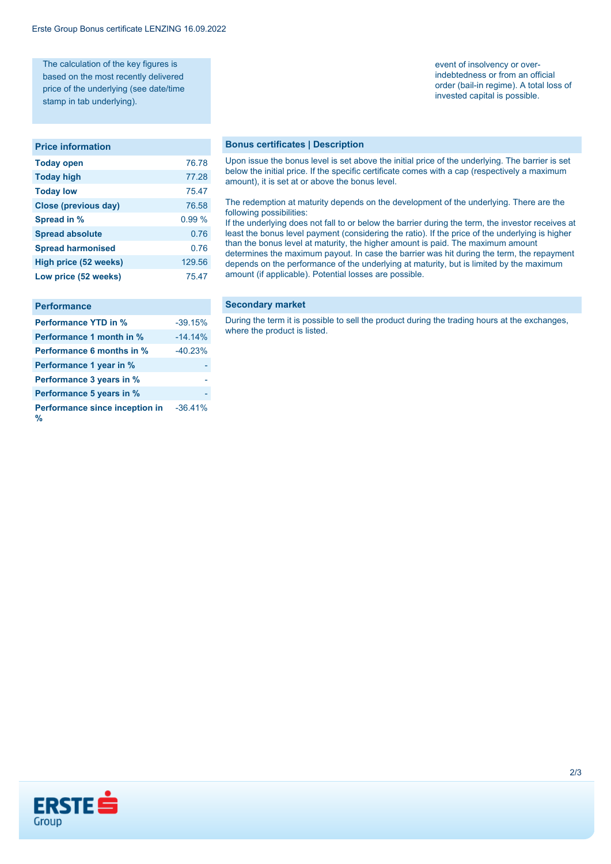The calculation of the key figures is based on the most recently delivered price of the underlying (see date/time stamp in tab underlying).

#### **Price information**

| <b>Today open</b>        | 76.78  |
|--------------------------|--------|
| <b>Today high</b>        | 77.28  |
| <b>Today low</b>         | 75.47  |
| Close (previous day)     | 76.58  |
| Spread in %              | 0.99%  |
| <b>Spread absolute</b>   | 0.76   |
| <b>Spread harmonised</b> | 0.76   |
| High price (52 weeks)    | 129.56 |
| Low price (52 weeks)     | 75.47  |

| <b>Performance</b>                  |           |
|-------------------------------------|-----------|
| <b>Performance YTD in %</b>         | $-39.15%$ |
| Performance 1 month in %            | $-14.14%$ |
| <b>Performance 6 months in %</b>    | $-40.23%$ |
| Performance 1 year in %             |           |
| Performance 3 years in %            |           |
| Performance 5 years in %            |           |
| Performance since inception in<br>% | $-36.41%$ |

event of insolvency or overindebtedness or from an official order (bail-in regime). A total loss of invested capital is possible.

#### **Bonus certificates | Description**

Upon issue the bonus level is set above the initial price of the underlying. The barrier is set below the initial price. If the specific certificate comes with a cap (respectively a maximum amount), it is set at or above the bonus level.

#### The redemption at maturity depends on the development of the underlying. There are the following possibilities:

If the underlying does not fall to or below the barrier during the term, the investor receives at least the bonus level payment (considering the ratio). If the price of the underlying is higher than the bonus level at maturity, the higher amount is paid. The maximum amount determines the maximum payout. In case the barrier was hit during the term, the repayment depends on the performance of the underlying at maturity, but is limited by the maximum amount (if applicable). Potential losses are possible.

#### **Secondary market**

During the term it is possible to sell the product during the trading hours at the exchanges, where the product is listed.